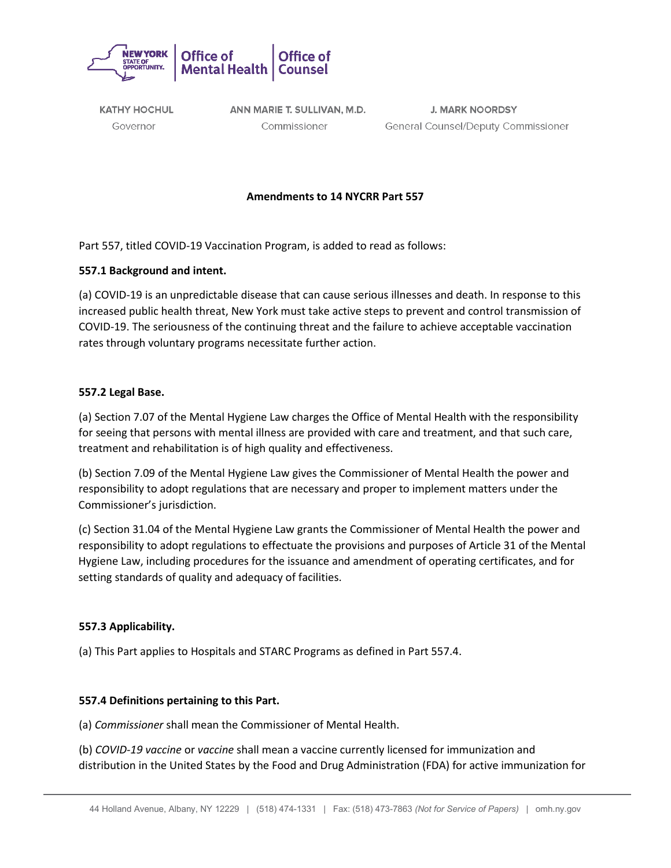

**KATHY HOCHUL** Governor

ANN MARIE T. SULLIVAN, M.D. Commissioner

**J. MARK NOORDSY General Counsel/Deputy Commissioner** 

## **Amendments to 14 NYCRR Part 557**

Part 557, titled COVID-19 Vaccination Program, is added to read as follows:

### **557.1 Background and intent.**

(a) COVID-19 is an unpredictable disease that can cause serious illnesses and death. In response to this increased public health threat, New York must take active steps to prevent and control transmission of COVID-19. The seriousness of the continuing threat and the failure to achieve acceptable vaccination rates through voluntary programs necessitate further action.

### **557.2 Legal Base.**

(a) Section 7.07 of the Mental Hygiene Law charges the Office of Mental Health with the responsibility for seeing that persons with mental illness are provided with care and treatment, and that such care, treatment and rehabilitation is of high quality and effectiveness.

(b) Section 7.09 of the Mental Hygiene Law gives the Commissioner of Mental Health the power and responsibility to adopt regulations that are necessary and proper to implement matters under the Commissioner's jurisdiction.

(c) Section 31.04 of the Mental Hygiene Law grants the Commissioner of Mental Health the power and responsibility to adopt regulations to effectuate the provisions and purposes of Article 31 of the Mental Hygiene Law, including procedures for the issuance and amendment of operating certificates, and for setting standards of quality and adequacy of facilities.

### **557.3 Applicability.**

(a) This Part applies to Hospitals and STARC Programs as defined in Part 557.4.

### **557.4 Definitions pertaining to this Part.**

(a) *Commissioner* shall mean the Commissioner of Mental Health.

(b) *COVID-19 vaccine* or *vaccine* shall mean a vaccine currently licensed for immunization and distribution in the United States by the Food and Drug Administration (FDA) for active immunization for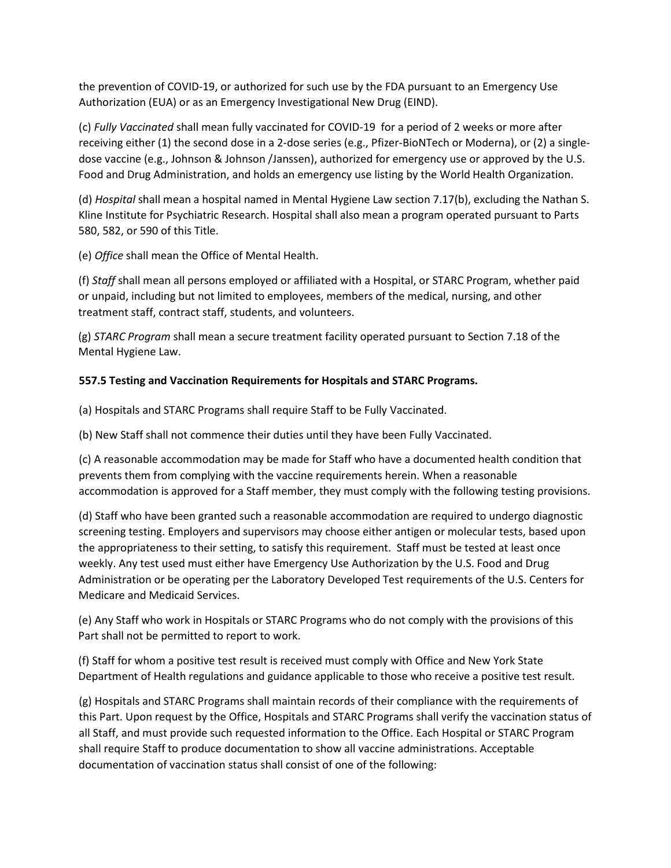the prevention of COVID-19, or authorized for such use by the FDA pursuant to an Emergency Use Authorization (EUA) or as an Emergency Investigational New Drug (EIND).

(c) *Fully Vaccinated* shall mean fully vaccinated for COVID-19 for a period of 2 weeks or more after receiving either (1) the second dose in a 2-dose series (e.g., Pfizer-BioNTech or Moderna), or (2) a singledose vaccine (e.g., Johnson & Johnson /Janssen), authorized for emergency use or approved by the U.S. Food and Drug Administration, and holds an emergency use listing by the World Health Organization.

(d) *Hospital* shall mean a hospital named in Mental Hygiene Law section 7.17(b), excluding the Nathan S. Kline Institute for Psychiatric Research. Hospital shall also mean a program operated pursuant to Parts 580, 582, or 590 of this Title.

(e) *Office* shall mean the Office of Mental Health.

(f) *Staff* shall mean all persons employed or affiliated with a Hospital, or STARC Program, whether paid or unpaid, including but not limited to employees, members of the medical, nursing, and other treatment staff, contract staff, students, and volunteers.

(g) *STARC Program* shall mean a secure treatment facility operated pursuant to Section 7.18 of the Mental Hygiene Law.

# **557.5 Testing and Vaccination Requirements for Hospitals and STARC Programs.**

(a) Hospitals and STARC Programs shall require Staff to be Fully Vaccinated.

(b) New Staff shall not commence their duties until they have been Fully Vaccinated.

(c) A reasonable accommodation may be made for Staff who have a documented health condition that prevents them from complying with the vaccine requirements herein. When a reasonable accommodation is approved for a Staff member, they must comply with the following testing provisions.

(d) Staff who have been granted such a reasonable accommodation are required to undergo diagnostic screening testing. Employers and supervisors may choose either antigen or molecular tests, based upon the appropriateness to their setting, to satisfy this requirement. Staff must be tested at least once weekly. Any test used must either have Emergency Use Authorization by the U.S. Food and Drug Administration or be operating per the Laboratory Developed Test requirements of the U.S. Centers for Medicare and Medicaid Services.

(e) Any Staff who work in Hospitals or STARC Programs who do not comply with the provisions of this Part shall not be permitted to report to work.

(f) Staff for whom a positive test result is received must comply with Office and New York State Department of Health regulations and guidance applicable to those who receive a positive test result.

(g) Hospitals and STARC Programs shall maintain records of their compliance with the requirements of this Part. Upon request by the Office, Hospitals and STARC Programs shall verify the vaccination status of all Staff, and must provide such requested information to the Office. Each Hospital or STARC Program shall require Staff to produce documentation to show all vaccine administrations. Acceptable documentation of vaccination status shall consist of one of the following: